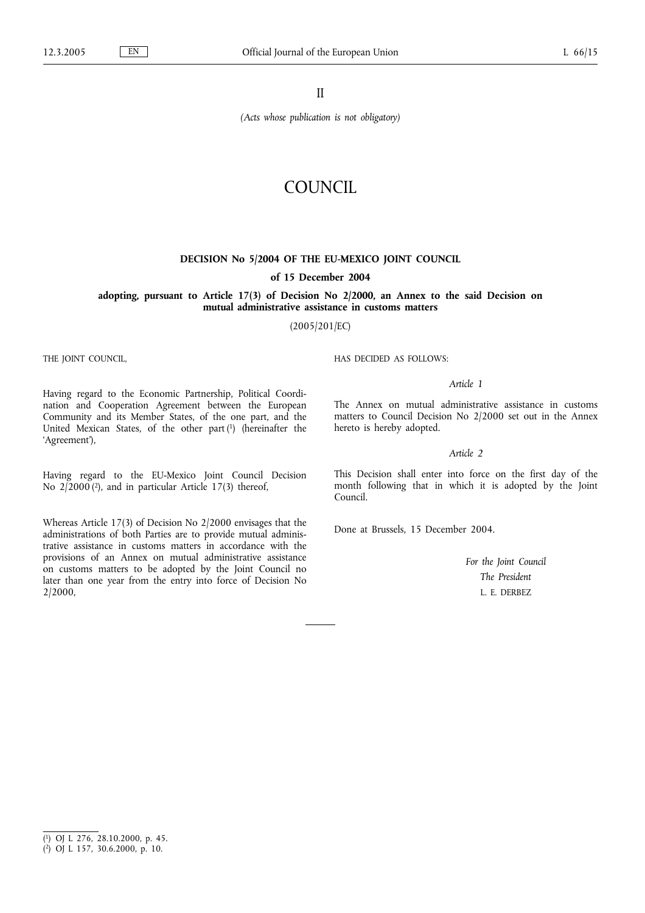II

*(Acts whose publication is not obligatory)*

# COUNCIL

# **DECISION No 5/2004 OF THE EU-MEXICO JOINT COUNCIL**

# **of 15 December 2004**

# **adopting, pursuant to Article 17(3) of Decision No 2/2000, an Annex to the said Decision on mutual administrative assistance in customs matters**

(2005/201/EC)

THE JOINT COUNCIL,

HAS DECIDED AS FOLLOWS:

# *Article 1*

The Annex on mutual administrative assistance in customs matters to Council Decision No 2/2000 set out in the Annex hereto is hereby adopted.

# *Article 2*

This Decision shall enter into force on the first day of the month following that in which it is adopted by the Joint Council.

Done at Brussels, 15 December 2004.

*For the Joint Council The President* L. E. DERBEZ

Having regard to the Economic Partnership, Political Coordination and Cooperation Agreement between the European Community and its Member States, of the one part, and the United Mexican States, of the other part (1) (hereinafter the 'Agreement'),

Having regard to the EU-Mexico Joint Council Decision No  $2/2000$ <sup>(2</sup>), and in particular Article 17(3) thereof,

Whereas Article 17(3) of Decision No 2/2000 envisages that the administrations of both Parties are to provide mutual administrative assistance in customs matters in accordance with the provisions of an Annex on mutual administrative assistance on customs matters to be adopted by the Joint Council no later than one year from the entry into force of Decision No 2/2000,

( 1) OJ L 276, 28.10.2000, p. 45.

<sup>(</sup> 2) OJ L 157, 30.6.2000, p. 10.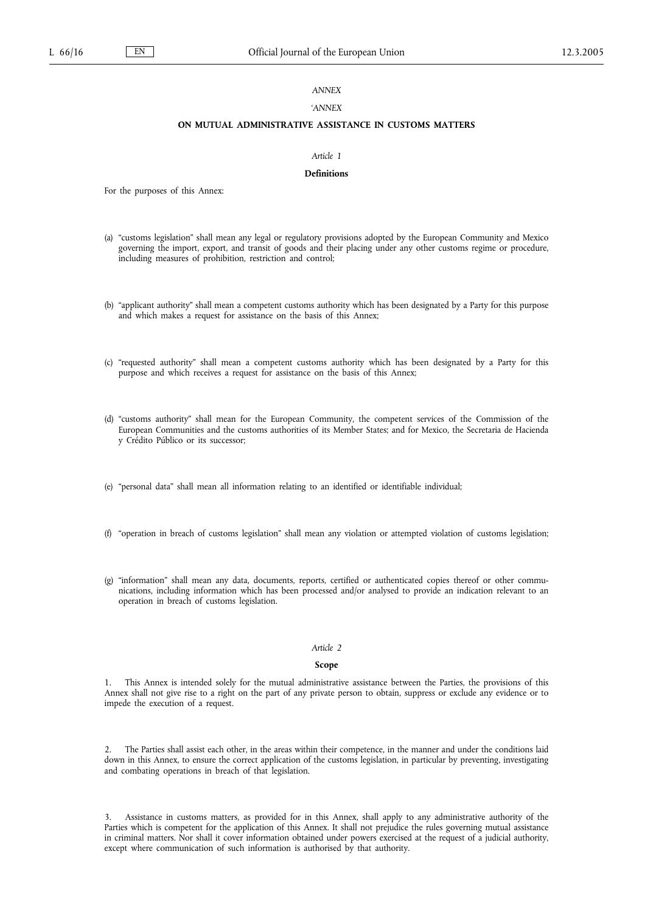# *ANNEX*

# *'ANNEX*

# **ON MUTUAL ADMINISTRATIVE ASSISTANCE IN CUSTOMS MATTERS**

## *Article 1*

# **Definitions**

For the purposes of this Annex:

- (a) "customs legislation" shall mean any legal or regulatory provisions adopted by the European Community and Mexico governing the import, export, and transit of goods and their placing under any other customs regime or procedure, including measures of prohibition, restriction and control;
- (b) "applicant authority" shall mean a competent customs authority which has been designated by a Party for this purpose and which makes a request for assistance on the basis of this Annex;
- (c) "requested authority" shall mean a competent customs authority which has been designated by a Party for this purpose and which receives a request for assistance on the basis of this Annex;
- (d) "customs authority" shall mean for the European Community, the competent services of the Commission of the European Communities and the customs authorities of its Member States; and for Mexico, the Secretaria de Hacienda y Crédito Público or its successor;
- (e) "personal data" shall mean all information relating to an identified or identifiable individual;
- (f) "operation in breach of customs legislation" shall mean any violation or attempted violation of customs legislation;
- (g) "information" shall mean any data, documents, reports, certified or authenticated copies thereof or other communications, including information which has been processed and/or analysed to provide an indication relevant to an operation in breach of customs legislation.

#### *Article 2*

#### **Scope**

1. This Annex is intended solely for the mutual administrative assistance between the Parties, the provisions of this Annex shall not give rise to a right on the part of any private person to obtain, suppress or exclude any evidence or to impede the execution of a request.

2. The Parties shall assist each other, in the areas within their competence, in the manner and under the conditions laid down in this Annex, to ensure the correct application of the customs legislation, in particular by preventing, investigating and combating operations in breach of that legislation.

3. Assistance in customs matters, as provided for in this Annex, shall apply to any administrative authority of the Parties which is competent for the application of this Annex. It shall not prejudice the rules governing mutual assistance in criminal matters. Nor shall it cover information obtained under powers exercised at the request of a judicial authority, except where communication of such information is authorised by that authority.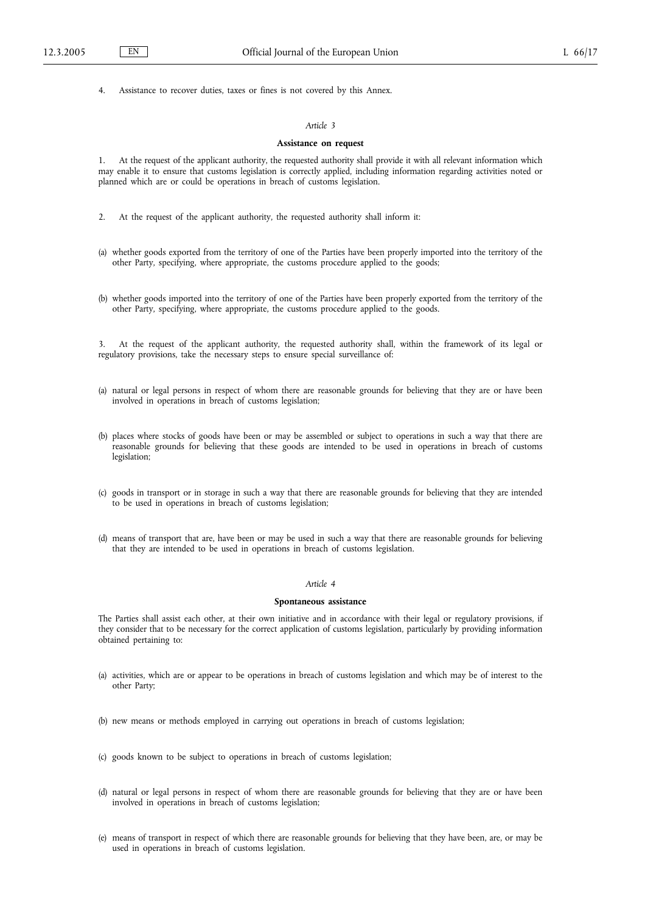4. Assistance to recover duties, taxes or fines is not covered by this Annex.

# *Article 3*

## **Assistance on request**

1. At the request of the applicant authority, the requested authority shall provide it with all relevant information which may enable it to ensure that customs legislation is correctly applied, including information regarding activities noted or planned which are or could be operations in breach of customs legislation.

- 2. At the request of the applicant authority, the requested authority shall inform it:
- (a) whether goods exported from the territory of one of the Parties have been properly imported into the territory of the other Party, specifying, where appropriate, the customs procedure applied to the goods;
- (b) whether goods imported into the territory of one of the Parties have been properly exported from the territory of the other Party, specifying, where appropriate, the customs procedure applied to the goods.

3. At the request of the applicant authority, the requested authority shall, within the framework of its legal or regulatory provisions, take the necessary steps to ensure special surveillance of:

- (a) natural or legal persons in respect of whom there are reasonable grounds for believing that they are or have been involved in operations in breach of customs legislation;
- (b) places where stocks of goods have been or may be assembled or subject to operations in such a way that there are reasonable grounds for believing that these goods are intended to be used in operations in breach of customs legislation;
- (c) goods in transport or in storage in such a way that there are reasonable grounds for believing that they are intended to be used in operations in breach of customs legislation;
- (d) means of transport that are, have been or may be used in such a way that there are reasonable grounds for believing that they are intended to be used in operations in breach of customs legislation.

#### *Article 4*

## **Spontaneous assistance**

The Parties shall assist each other, at their own initiative and in accordance with their legal or regulatory provisions, if they consider that to be necessary for the correct application of customs legislation, particularly by providing information obtained pertaining to:

- (a) activities, which are or appear to be operations in breach of customs legislation and which may be of interest to the other Party;
- (b) new means or methods employed in carrying out operations in breach of customs legislation;
- (c) goods known to be subject to operations in breach of customs legislation;
- (d) natural or legal persons in respect of whom there are reasonable grounds for believing that they are or have been involved in operations in breach of customs legislation;
- (e) means of transport in respect of which there are reasonable grounds for believing that they have been, are, or may be used in operations in breach of customs legislation.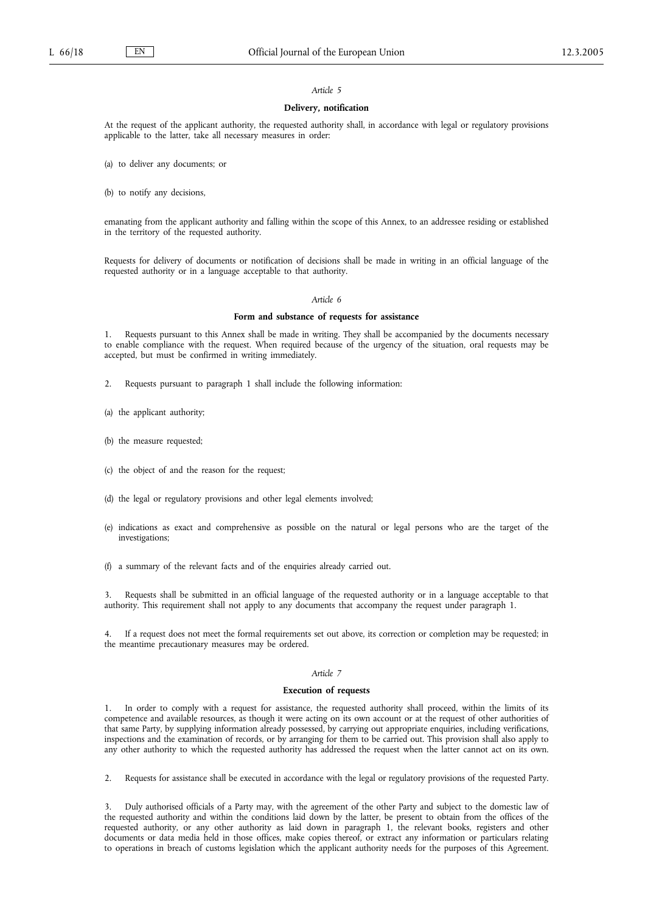#### *Article 5*

# **Delivery, notification**

At the request of the applicant authority, the requested authority shall, in accordance with legal or regulatory provisions applicable to the latter, take all necessary measures in order:

(a) to deliver any documents; or

(b) to notify any decisions,

emanating from the applicant authority and falling within the scope of this Annex, to an addressee residing or established in the territory of the requested authority.

Requests for delivery of documents or notification of decisions shall be made in writing in an official language of the requested authority or in a language acceptable to that authority.

#### *Article 6*

# **Form and substance of requests for assistance**

1. Requests pursuant to this Annex shall be made in writing. They shall be accompanied by the documents necessary to enable compliance with the request. When required because of the urgency of the situation, oral requests may be accepted, but must be confirmed in writing immediately.

2. Requests pursuant to paragraph 1 shall include the following information:

- (a) the applicant authority;
- (b) the measure requested;
- (c) the object of and the reason for the request;
- (d) the legal or regulatory provisions and other legal elements involved;
- (e) indications as exact and comprehensive as possible on the natural or legal persons who are the target of the investigations;
- (f) a summary of the relevant facts and of the enquiries already carried out.

3. Requests shall be submitted in an official language of the requested authority or in a language acceptable to that authority. This requirement shall not apply to any documents that accompany the request under paragraph 1.

If a request does not meet the formal requirements set out above, its correction or completion may be requested; in the meantime precautionary measures may be ordered.

#### *Article 7*

#### **Execution of requests**

1. In order to comply with a request for assistance, the requested authority shall proceed, within the limits of its competence and available resources, as though it were acting on its own account or at the request of other authorities of that same Party, by supplying information already possessed, by carrying out appropriate enquiries, including verifications, inspections and the examination of records, or by arranging for them to be carried out. This provision shall also apply to any other authority to which the requested authority has addressed the request when the latter cannot act on its own.

2. Requests for assistance shall be executed in accordance with the legal or regulatory provisions of the requested Party.

3. Duly authorised officials of a Party may, with the agreement of the other Party and subject to the domestic law of the requested authority and within the conditions laid down by the latter, be present to obtain from the offices of the requested authority, or any other authority as laid down in paragraph 1, the relevant books, registers and other documents or data media held in those offices, make copies thereof, or extract any information or particulars relating to operations in breach of customs legislation which the applicant authority needs for the purposes of this Agreement.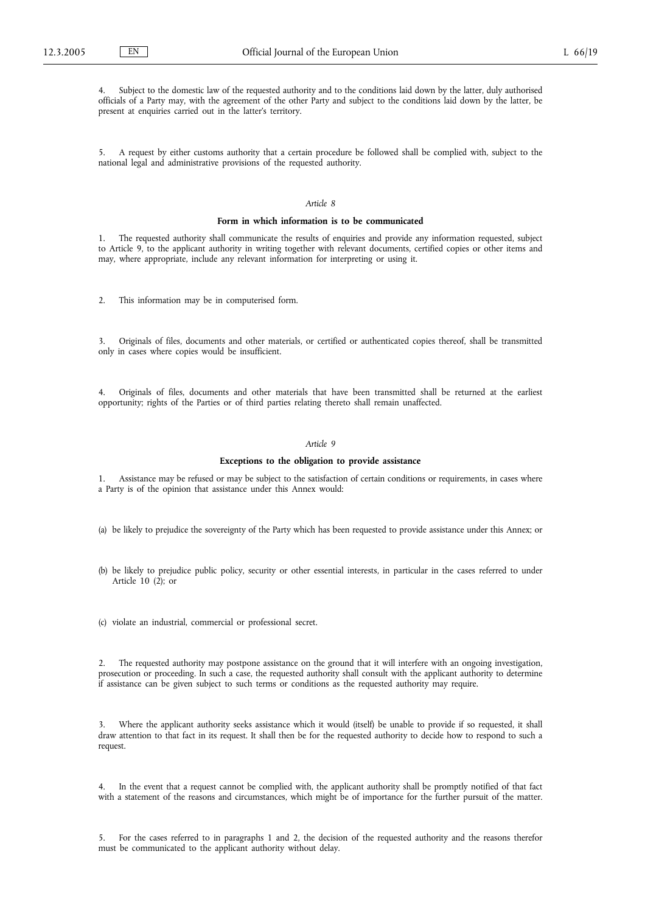Subject to the domestic law of the requested authority and to the conditions laid down by the latter, duly authorised officials of a Party may, with the agreement of the other Party and subject to the conditions laid down by the latter, be present at enquiries carried out in the latter's territory.

5. A request by either customs authority that a certain procedure be followed shall be complied with, subject to the national legal and administrative provisions of the requested authority.

## *Article 8*

#### **Form in which information is to be communicated**

1. The requested authority shall communicate the results of enquiries and provide any information requested, subject to Article 9, to the applicant authority in writing together with relevant documents, certified copies or other items and may, where appropriate, include any relevant information for interpreting or using it.

2. This information may be in computerised form.

3. Originals of files, documents and other materials, or certified or authenticated copies thereof, shall be transmitted only in cases where copies would be insufficient.

4. Originals of files, documents and other materials that have been transmitted shall be returned at the earliest opportunity; rights of the Parties or of third parties relating thereto shall remain unaffected.

### *Article 9*

#### **Exceptions to the obligation to provide assistance**

1. Assistance may be refused or may be subject to the satisfaction of certain conditions or requirements, in cases where a Party is of the opinion that assistance under this Annex would:

- (a) be likely to prejudice the sovereignty of the Party which has been requested to provide assistance under this Annex; or
- (b) be likely to prejudice public policy, security or other essential interests, in particular in the cases referred to under Article 10 (2); or
- (c) violate an industrial, commercial or professional secret.

2. The requested authority may postpone assistance on the ground that it will interfere with an ongoing investigation, prosecution or proceeding. In such a case, the requested authority shall consult with the applicant authority to determine if assistance can be given subject to such terms or conditions as the requested authority may require.

3. Where the applicant authority seeks assistance which it would (itself) be unable to provide if so requested, it shall draw attention to that fact in its request. It shall then be for the requested authority to decide how to respond to such a request.

4. In the event that a request cannot be complied with, the applicant authority shall be promptly notified of that fact with a statement of the reasons and circumstances, which might be of importance for the further pursuit of the matter.

5. For the cases referred to in paragraphs 1 and 2, the decision of the requested authority and the reasons therefor must be communicated to the applicant authority without delay.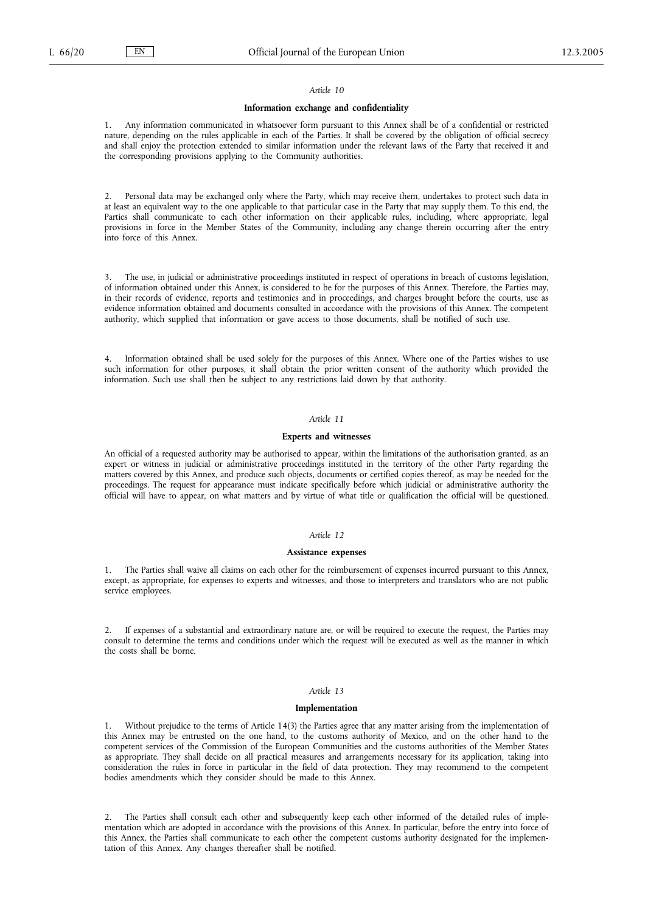#### *Article 10*

#### **Information exchange and confidentiality**

1. Any information communicated in whatsoever form pursuant to this Annex shall be of a confidential or restricted nature, depending on the rules applicable in each of the Parties. It shall be covered by the obligation of official secrecy and shall enjoy the protection extended to similar information under the relevant laws of the Party that received it and the corresponding provisions applying to the Community authorities.

2. Personal data may be exchanged only where the Party, which may receive them, undertakes to protect such data in at least an equivalent way to the one applicable to that particular case in the Party that may supply them. To this end, the Parties shall communicate to each other information on their applicable rules, including, where appropriate, legal provisions in force in the Member States of the Community, including any change therein occurring after the entry into force of this Annex.

3. The use, in judicial or administrative proceedings instituted in respect of operations in breach of customs legislation, of information obtained under this Annex, is considered to be for the purposes of this Annex. Therefore, the Parties may, in their records of evidence, reports and testimonies and in proceedings, and charges brought before the courts, use as evidence information obtained and documents consulted in accordance with the provisions of this Annex. The competent authority, which supplied that information or gave access to those documents, shall be notified of such use.

4. Information obtained shall be used solely for the purposes of this Annex. Where one of the Parties wishes to use such information for other purposes, it shall obtain the prior written consent of the authority which provided the information. Such use shall then be subject to any restrictions laid down by that authority.

# *Article 11*

# **Experts and witnesses**

An official of a requested authority may be authorised to appear, within the limitations of the authorisation granted, as an expert or witness in judicial or administrative proceedings instituted in the territory of the other Party regarding the matters covered by this Annex, and produce such objects, documents or certified copies thereof, as may be needed for the proceedings. The request for appearance must indicate specifically before which judicial or administrative authority the official will have to appear, on what matters and by virtue of what title or qualification the official will be questioned.

#### *Article 12*

#### **Assistance expenses**

1. The Parties shall waive all claims on each other for the reimbursement of expenses incurred pursuant to this Annex, except, as appropriate, for expenses to experts and witnesses, and those to interpreters and translators who are not public service employees.

2. If expenses of a substantial and extraordinary nature are, or will be required to execute the request, the Parties may consult to determine the terms and conditions under which the request will be executed as well as the manner in which the costs shall be borne.

#### *Article 13*

#### **Implementation**

1. Without prejudice to the terms of Article 14(3) the Parties agree that any matter arising from the implementation of this Annex may be entrusted on the one hand, to the customs authority of Mexico, and on the other hand to the competent services of the Commission of the European Communities and the customs authorities of the Member States as appropriate. They shall decide on all practical measures and arrangements necessary for its application, taking into consideration the rules in force in particular in the field of data protection. They may recommend to the competent bodies amendments which they consider should be made to this Annex.

2. The Parties shall consult each other and subsequently keep each other informed of the detailed rules of implementation which are adopted in accordance with the provisions of this Annex. In particular, before the entry into force of this Annex, the Parties shall communicate to each other the competent customs authority designated for the implementation of this Annex. Any changes thereafter shall be notified.